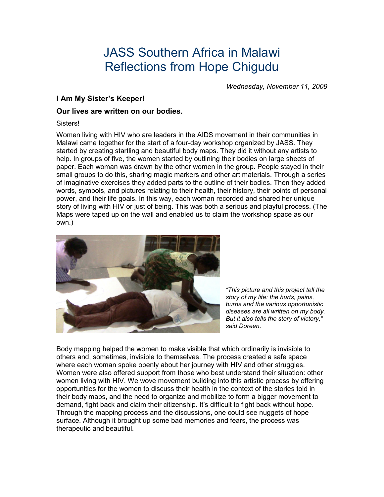# JASS Southern Africa in Malawi Reflections from Hope Chigudu

*Wednesday, November 11, 2009* 

# **I Am My Sister's Keeper!**

## **Our lives are written on our bodies.**

#### Sisters!

Women living with HIV who are leaders in the AIDS movement in their communities in Malawi came together for the start of a four-day workshop organized by JASS. They started by creating startling and beautiful body maps. They did it without any artists to help. In groups of five, the women started by outlining their bodies on large sheets of paper. Each woman was drawn by the other women in the group. People stayed in their small groups to do this, sharing magic markers and other art materials. Through a series of imaginative exercises they added parts to the outline of their bodies. Then they added words, symbols, and pictures relating to their health, their history, their points of personal power, and their life goals. In this way, each woman recorded and shared her unique story of living with HIV or just of being. This was both a serious and playful process. (The Maps were taped up on the wall and enabled us to claim the workshop space as our own.)



*"This picture and this project tell the story of my life: the hurts, pains, burns and the various opportunistic diseases are all written on my body. But it also tells the story of victory," said Doreen.* 

Body mapping helped the women to make visible that which ordinarily is invisible to others and, sometimes, invisible to themselves. The process created a safe space where each woman spoke openly about her journey with HIV and other struggles. Women were also offered support from those who best understand their situation: other women living with HIV. We wove movement building into this artistic process by offering opportunities for the women to discuss their health in the context of the stories told in their body maps, and the need to organize and mobilize to form a bigger movement to demand, fight back and claim their citizenship. It's difficult to fight back without hope. Through the mapping process and the discussions, one could see nuggets of hope surface. Although it brought up some bad memories and fears, the process was therapeutic and beautiful.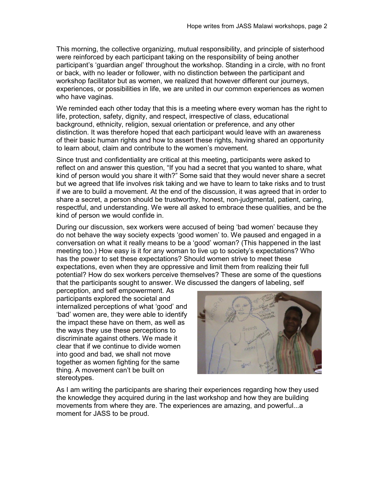This morning, the collective organizing, mutual responsibility, and principle of sisterhood were reinforced by each participant taking on the responsibility of being another participant's 'guardian angel' throughout the workshop. Standing in a circle, with no front or back, with no leader or follower, with no distinction between the participant and workshop facilitator but as women, we realized that however different our journeys, experiences, or possibilities in life, we are united in our common experiences as women who have vaginas.

We reminded each other today that this is a meeting where every woman has the right to life, protection, safety, dignity, and respect, irrespective of class, educational background, ethnicity, religion, sexual orientation or preference, and any other distinction. It was therefore hoped that each participant would leave with an awareness of their basic human rights and how to assert these rights, having shared an opportunity to learn about, claim and contribute to the women's movement.

Since trust and confidentiality are critical at this meeting, participants were asked to reflect on and answer this question, "If you had a secret that you wanted to share, what kind of person would you share it with?" Some said that they would never share a secret but we agreed that life involves risk taking and we have to learn to take risks and to trust if we are to build a movement. At the end of the discussion, it was agreed that in order to share a secret, a person should be trustworthy, honest, non-judgmental, patient, caring, respectful, and understanding. We were all asked to embrace these qualities, and be the kind of person we would confide in.

During our discussion, sex workers were accused of being 'bad women' because they do not behave the way society expects 'good women' to. We paused and engaged in a conversation on what it really means to be a 'good' woman? (This happened in the last meeting too.) How easy is it for any woman to live up to society's expectations? Who has the power to set these expectations? Should women strive to meet these expectations, even when they are oppressive and limit them from realizing their full potential? How do sex workers perceive themselves? These are some of the questions that the participants sought to answer. We discussed the dangers of labeling, self

perception, and self empowerment. As participants explored the societal and internalized perceptions of what 'good' and 'bad' women are, they were able to identify the impact these have on them, as well as the ways they use these perceptions to discriminate against others. We made it clear that if we continue to divide women into good and bad, we shall not move together as women fighting for the same thing. A movement can't be built on stereotypes.



As I am writing the participants are sharing their experiences regarding how they used the knowledge they acquired during in the last workshop and how they are building movements from where they are. The experiences are amazing, and powerful...a moment for JASS to be proud.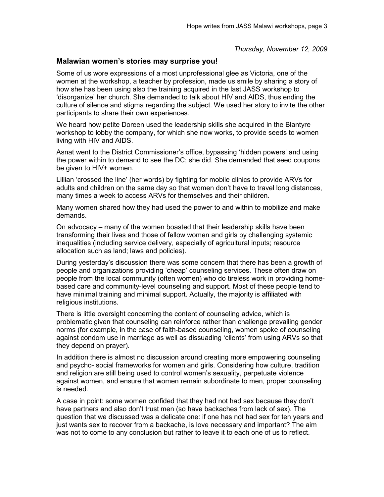*Thursday, November 12, 2009* 

## **Malawian women's stories may surprise you!**

Some of us wore expressions of a most unprofessional glee as Victoria, one of the women at the workshop, a teacher by profession, made us smile by sharing a story of how she has been using also the training acquired in the last JASS workshop to 'disorganize' her church. She demanded to talk about HIV and AIDS, thus ending the culture of silence and stigma regarding the subject. We used her story to invite the other participants to share their own experiences.

We heard how petite Doreen used the leadership skills she acquired in the Blantyre workshop to lobby the company, for which she now works, to provide seeds to women living with HIV and AIDS.

Asnat went to the District Commissioner's office, bypassing 'hidden powers' and using the power within to demand to see the DC; she did. She demanded that seed coupons be given to HIV+ women.

Lillian 'crossed the line' (her words) by fighting for mobile clinics to provide ARVs for adults and children on the same day so that women don't have to travel long distances, many times a week to access ARVs for themselves and their children.

Many women shared how they had used the power to and within to mobilize and make demands.

On advocacy – many of the women boasted that their leadership skills have been transforming their lives and those of fellow women and girls by challenging systemic inequalities (including service delivery, especially of agricultural inputs; resource allocation such as land; laws and policies).

During yesterday's discussion there was some concern that there has been a growth of people and organizations providing 'cheap' counseling services. These often draw on people from the local community (often women) who do tireless work in providing homebased care and community-level counseling and support. Most of these people tend to have minimal training and minimal support. Actually, the majority is affiliated with religious institutions.

There is little oversight concerning the content of counseling advice, which is problematic given that counseling can reinforce rather than challenge prevailing gender norms (for example, in the case of faith-based counseling, women spoke of counseling against condom use in marriage as well as dissuading 'clients' from using ARVs so that they depend on prayer).

In addition there is almost no discussion around creating more empowering counseling and psycho- social frameworks for women and girls. Considering how culture, tradition and religion are still being used to control women's sexuality, perpetuate violence against women, and ensure that women remain subordinate to men, proper counseling is needed.

A case in point: some women confided that they had not had sex because they don't have partners and also don't trust men (so have backaches from lack of sex). The question that we discussed was a delicate one: if one has not had sex for ten years and just wants sex to recover from a backache, is love necessary and important? The aim was not to come to any conclusion but rather to leave it to each one of us to reflect.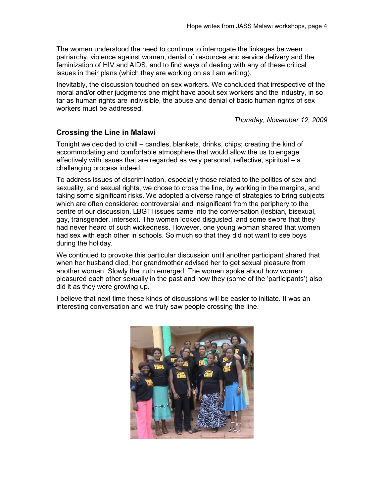The women understood the need to continue to interrogate the linkages between patriarchy, violence against women, denial of resources and service delivery and the feminization of HIV and AIDS, and to find ways of dealing with any of these critical issues in their plans (which they are working on as I am writing).

Inevitably, the discussion touched on sex workers. We concluded that irrespective of the moral and/or other judgments one might have about sex workers and the industry, in so far as human rights are indivisible, the abuse and denial of basic human rights of sex workers must be addressed.

*Thursday, November 12, 2009* 

## **Crossing the Line in Malawi**

Tonight we decided to chill – candles, blankets, drinks, chips; creating the kind of accommodating and comfortable atmosphere that would allow the us to engage effectively with issues that are regarded as very personal, reflective, spiritual – a challenging process indeed.

To address issues of discrimination, especially those related to the politics of sex and sexuality, and sexual rights, we chose to cross the line, by working in the margins, and taking some significant risks. We adopted a diverse range of strategies to bring subjects which are often considered controversial and insignificant from the periphery to the centre of our discussion. LBGTI issues came into the conversation (lesbian, bisexual, gay, transgender, intersex). The women looked disgusted, and some swore that they had never heard of such wickedness. However, one young woman shared that women had sex with each other in schools. So much so that they did not want to see boys during the holiday.

We continued to provoke this particular discussion until another participant shared that when her husband died, her grandmother advised her to get sexual pleasure from another woman. Slowly the truth emerged. The women spoke about how women pleasured each other sexually in the past and how they (some of the 'participants') also did it as they were growing up.

I believe that next time these kinds of discussions will be easier to initiate. It was an interesting conversation and we truly saw people crossing the line.